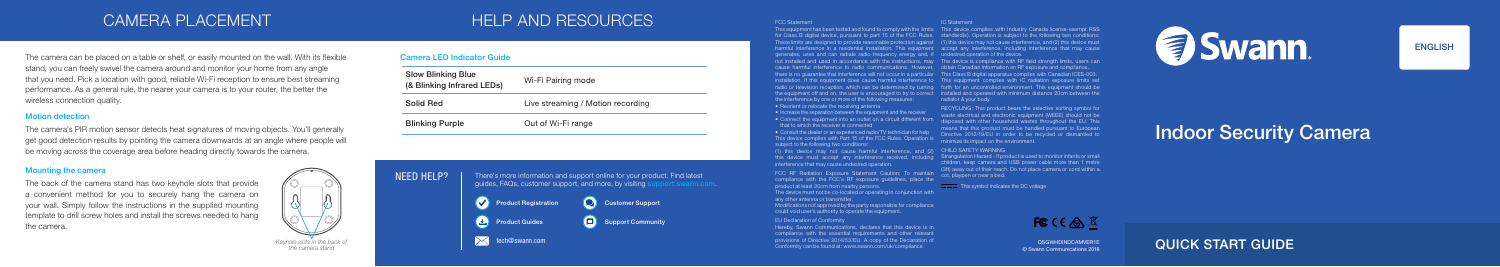## LOAMERA PLACEMENT AND HELP AND RESOURCES

FCC Statement

• Consult the dealer or an experienced radio/TV technician for help This device complies with Part 15 of the FCC Rules. Operation is subject to the following two conditions:

generates, uses and can radiate radio frequency energy and, if undesired operation of the device. the interference by one or more of the following measures:

• Reorient or relocate the receiving antenna

(1) this device may not cause harmful interference, and (2) this device must accept any interference received, including interference that may cause undesired operation.

• Increase the separation between the equipment and the receiver • Connect the equipment into an outlet on a circuit different from that to which the receiver is connected

not installed and used in accordance with the instructions, may The device is compliance with RF field strength limits, users can cause harmful interference to radio communications. However, obtain Canadian information on RF exposure and compliance.

FCC RF Radiation Exposure Statement Caution: To maintain compliance with the FCC's RF exposure guidelines, place the product at least 20cm from nearby persons.

RECYCLING: This product bears the selective sorting symbol for waste electrical and electronic equipment (WEEE) should not be disposed with other household wastes throughout the EU. This means that this product must be handled pursuant to European Directive 2012/19/EU in order to be recycled or dismantled to minimize its impact on the environment.

### CHILD SAFFTY WARNING

Strangulation Hazard - If product is used to monitor infants or small children, keep camera and USB power cable more than 1 metre (3ft) away out of their reach. Do not place camera or cord within a cot, playpen or near a bed.

This symbol indicates the DC voltage



The device must not be co-located or operating in conjunction with any other antenna or transmitter.

there is no guarantee that interference will not occur in a particular This Class B digital apparatus complies with Canadian ICES-003. installation. If this equipment does cause harmful interference to This equipment complies with IC radiation exposure limits set radio or television reception, which can be determined by turning forth for an uncontrolled environment. This equipment should be the equipment off and on, the user is encouraged to try to correct installed and operated with minimum distance 20cm between the radiator & your body.

Modifications not approved by the party responsible for compliance could void user's authority to operate the equipment.

### EU Declaration of Conformity

compliance with the essential requirements and other relevant Conformity can be found at: www.swann.com/uk/compliance

### IC Statement

This equipment has been tested and found to comply with the limits This device complies with Industry Canada license-exempt RSS for Class B digital device, pursuant to part 15 of the FCC Rules. standard(s). Operation is subject to the following two conditions: These limits are designed to provide reasonable protection against (1) this device may not cause interference, and (2) this device must harmful interference in a residential installation. This equipment accept any interference, including interference that may cause



© Swann Communications 2018

The camera can be placed on a table or shelf, or easily mounted on the wall. With its flexible stand, you can freely swivel the camera around and monitor your home from any angle that you need. Pick a location with good, reliable Wi-Fi reception to ensure best streaming performance. As a general rule, the nearer your camera is to your router, the better the wireless connection quality.

## QUICK START GUIDE



## **ENGLISH**

## Camera LED Indicator Guide

| <b>Slow Blinking Blue</b><br>(& Blinking Infrared LEDs) | Wi-Fi Pairing mode                |
|---------------------------------------------------------|-----------------------------------|
| Solid Red                                               | Live streaming / Motion recording |
| <b>Blinking Purple</b>                                  | Out of Wi-Fi range                |

# Indoor Security Camera

## Mounting the camera

The back of the camera stand has two keyhole slots that provide a convenient method for you to securely hang the camera on your wall. Simply follow the instructions in the supplied mounting template to drill screw holes and install the screws needed to hang the camera.



## Motion detection

The camera's PIR motion sensor detects heat signatures of moving objects. You'll generally get good detection results by pointing the camera downwards at an angle where people will be moving across the coverage area before heading directly towards the camera.